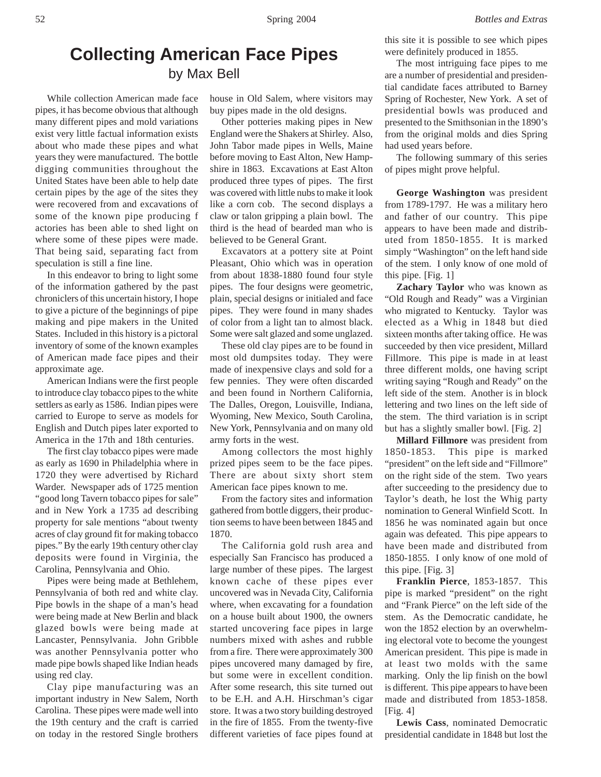# **Collecting American Face Pipes** by Max Bell

While collection American made face pipes, it has become obvious that although many different pipes and mold variations exist very little factual information exists about who made these pipes and what years they were manufactured. The bottle digging communities throughout the United States have been able to help date certain pipes by the age of the sites they were recovered from and excavations of some of the known pipe producing f actories has been able to shed light on where some of these pipes were made. That being said, separating fact from speculation is still a fine line.

In this endeavor to bring to light some of the information gathered by the past chroniclers of this uncertain history, I hope to give a picture of the beginnings of pipe making and pipe makers in the United States. Included in this history is a pictoral inventory of some of the known examples of American made face pipes and their approximate age.

American Indians were the first people to introduce clay tobacco pipes to the white settlers as early as 1586. Indian pipes were carried to Europe to serve as models for English and Dutch pipes later exported to America in the 17th and 18th centuries.

The first clay tobacco pipes were made as early as 1690 in Philadelphia where in 1720 they were advertised by Richard Warder. Newspaper ads of 1725 mention "good long Tavern tobacco pipes for sale" and in New York a 1735 ad describing property for sale mentions "about twenty acres of clay ground fit for making tobacco pipes." By the early 19th century other clay deposits were found in Virginia, the Carolina, Pennsylvania and Ohio.

Pipes were being made at Bethlehem, Pennsylvania of both red and white clay. Pipe bowls in the shape of a man's head were being made at New Berlin and black glazed bowls were being made at Lancaster, Pennsylvania. John Gribble was another Pennsylvania potter who made pipe bowls shaped like Indian heads using red clay.

Clay pipe manufacturing was an important industry in New Salem, North Carolina. These pipes were made well into the 19th century and the craft is carried on today in the restored Single brothers

house in Old Salem, where visitors may buy pipes made in the old designs.

Other potteries making pipes in New England were the Shakers at Shirley. Also, John Tabor made pipes in Wells, Maine before moving to East Alton, New Hampshire in 1863. Excavations at East Alton produced three types of pipes. The first was covered with little nubs to make it look like a corn cob. The second displays a claw or talon gripping a plain bowl. The third is the head of bearded man who is believed to be General Grant.

Excavators at a pottery site at Point Pleasant, Ohio which was in operation from about 1838-1880 found four style pipes. The four designs were geometric, plain, special designs or initialed and face pipes. They were found in many shades of color from a light tan to almost black. Some were salt glazed and some unglazed.

These old clay pipes are to be found in most old dumpsites today. They were made of inexpensive clays and sold for a few pennies. They were often discarded and been found in Northern California, The Dalles, Oregon, Louisville, Indiana, Wyoming, New Mexico, South Carolina, New York, Pennsylvania and on many old army forts in the west.

Among collectors the most highly prized pipes seem to be the face pipes. There are about sixty short stem American face pipes known to me.

From the factory sites and information gathered from bottle diggers, their production seems to have been between 1845 and 1870.

The California gold rush area and especially San Francisco has produced a large number of these pipes. The largest known cache of these pipes ever uncovered was in Nevada City, California where, when excavating for a foundation on a house built about 1900, the owners started uncovering face pipes in large numbers mixed with ashes and rubble from a fire. There were approximately 300 pipes uncovered many damaged by fire, but some were in excellent condition. After some research, this site turned out to be E.H. and A.H. Hirschman's cigar store. It was a two story building destroyed in the fire of 1855. From the twenty-five different varieties of face pipes found at

this site it is possible to see which pipes were definitely produced in 1855.

The most intriguing face pipes to me are a number of presidential and presidential candidate faces attributed to Barney Spring of Rochester, New York. A set of presidential bowls was produced and presented to the Smithsonian in the 1890's from the original molds and dies Spring had used years before.

The following summary of this series of pipes might prove helpful.

**George Washington** was president from 1789-1797. He was a military hero and father of our country. This pipe appears to have been made and distributed from 1850-1855. It is marked simply "Washington" on the left hand side of the stem. I only know of one mold of this pipe. [Fig. 1]

**Zachary Taylor** who was known as "Old Rough and Ready" was a Virginian who migrated to Kentucky. Taylor was elected as a Whig in 1848 but died sixteen months after taking office. He was succeeded by then vice president, Millard Fillmore. This pipe is made in at least three different molds, one having script writing saying "Rough and Ready" on the left side of the stem. Another is in block lettering and two lines on the left side of the stem. The third variation is in script but has a slightly smaller bowl. [Fig. 2]

**Millard Fillmore** was president from 1850-1853. This pipe is marked "president" on the left side and "Fillmore" on the right side of the stem. Two years after succeeding to the presidency due to Taylor's death, he lost the Whig party nomination to General Winfield Scott. In 1856 he was nominated again but once again was defeated. This pipe appears to have been made and distributed from 1850-1855. I only know of one mold of this pipe. [Fig. 3]

**Franklin Pierce**, 1853-1857. This pipe is marked "president" on the right and "Frank Pierce" on the left side of the stem. As the Democratic candidate, he won the 1852 election by an overwhelming electoral vote to become the youngest American president. This pipe is made in at least two molds with the same marking. Only the lip finish on the bowl is different. This pipe appears to have been made and distributed from 1853-1858. [Fig. 4]

**Lewis Cass**, nominated Democratic presidential candidate in 1848 but lost the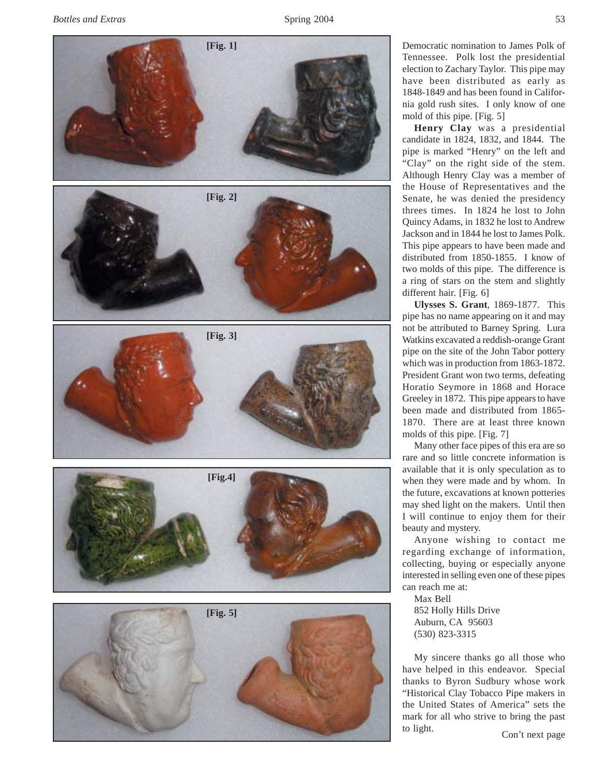

**[Fig. 1]**

Democratic nomination to James Polk of Tennessee. Polk lost the presidential election to Zachary Taylor. This pipe may have been distributed as early as 1848-1849 and has been found in California gold rush sites. I only know of one mold of this pipe. [Fig. 5]

**Henry Clay** was a presidential candidate in 1824, 1832, and 1844. The pipe is marked "Henry" on the left and "Clay" on the right side of the stem. Although Henry Clay was a member of the House of Representatives and the Senate, he was denied the presidency threes times. In 1824 he lost to John Quincy Adams, in 1832 he lost to Andrew Jackson and in 1844 he lost to James Polk. This pipe appears to have been made and distributed from 1850-1855. I know of two molds of this pipe. The difference is a ring of stars on the stem and slightly different hair. [Fig. 6]

**Ulysses S. Grant**, 1869-1877. This pipe has no name appearing on it and may not be attributed to Barney Spring. Lura Watkins excavated a reddish-orange Grant pipe on the site of the John Tabor pottery which was in production from 1863-1872. President Grant won two terms, defeating Horatio Seymore in 1868 and Horace Greeley in 1872. This pipe appears to have been made and distributed from 1865- 1870. There are at least three known molds of this pipe. [Fig. 7]

Many other face pipes of this era are so rare and so little concrete information is available that it is only speculation as to when they were made and by whom. In the future, excavations at known potteries may shed light on the makers. Until then I will continue to enjoy them for their beauty and mystery.

Anyone wishing to contact me regarding exchange of information, collecting, buying or especially anyone interested in selling even one of these pipes can reach me at:

Max Bell 852 Holly Hills Drive Auburn, CA 95603 (530) 823-3315

My sincere thanks go all those who have helped in this endeavor. Special thanks to Byron Sudbury whose work "Historical Clay Tobacco Pipe makers in the United States of America" sets the mark for all who strive to bring the past to light.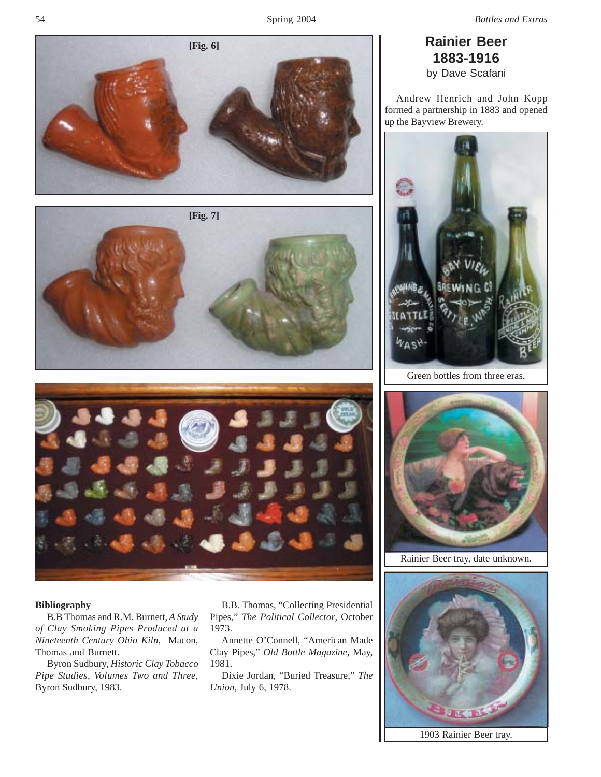Andrew Henrich and John Kopp formed a partnership in 1883 and opened up the Bayview Brewery.



Green bottles from three eras.



Rainier Beer tray, date unknown.



1903 Rainier Beer tray.







## **Bibliography**

B.B Thomas and R.M. Burnett, *A Study of Clay Smoking Pipes Produced at a Nineteenth Century Ohio Kiln*, Macon, Thomas and Burnett.

Byron Sudbury, *Historic Clay Tobacco Pipe Studies, Volumes Two and Three*, Byron Sudbury, 1983.

B.B. Thomas, "Collecting Presidential Pipes," *The Political Collector*, October 1973.

Annette O'Connell, "American Made Clay Pipes," *Old Bottle Magazine,* May, 1981.

Dixie Jordan, "Buried Treasure," *The Union,* July 6, 1978.